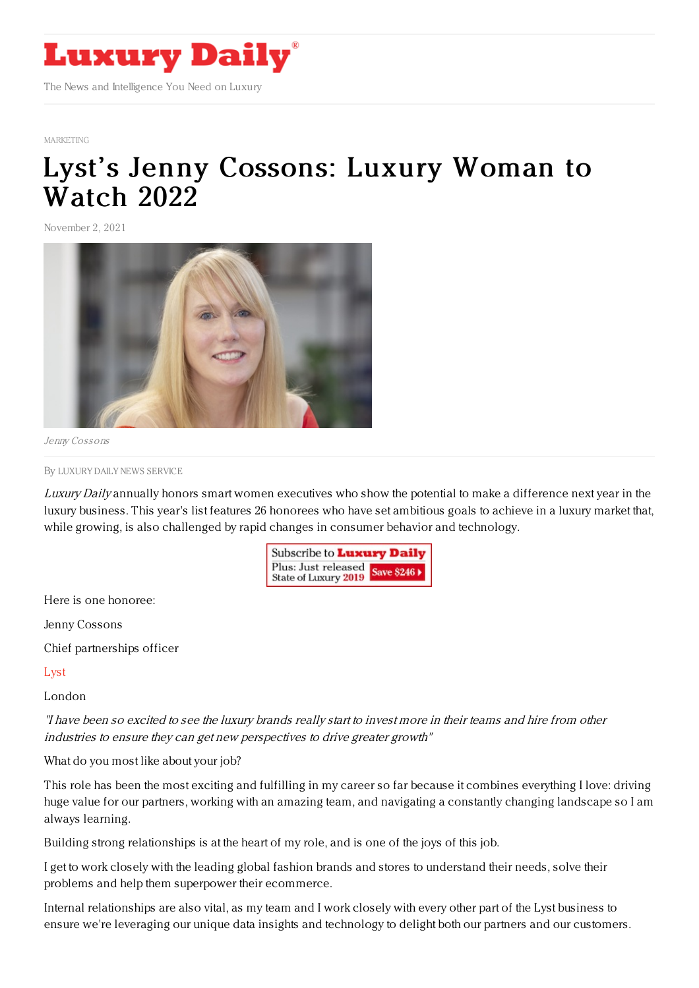

## [MARKETING](https://www.luxurydaily.com/category/sectors/marketing-industry-sectors/)

## Lyst's Jenny [Cossons:](https://www.luxurydaily.com/lysts-jenny-cossons-luxury-woman-to-watch-2022/) Luxury Woman to Watch 2022

November 2, 2021



Jenny Cossons

By LUXURY DAILY NEWS [SERVICE](file:///author/luxury-daily-news-service)

Luxury Daily annually honors smart women executives who show the potential to make a difference next year in the luxury business. This year's list features 26 honorees who have set ambitious goals to achieve in a luxury market that, while growing, is also challenged by rapid changes in consumer behavior and technology.

> Subscribe to Luxury Daily Plus: Just released Save \$246 > State of Luxury 2019

Here is one honoree:

Jenny Cossons

Chief partnerships officer

[Lyst](https://www.lyst.com/)

London

"I have been so excited to see the luxury brands really start to invest more in their teams and hire from other industries to ensure they can get new perspectives to drive greater growth"

What do you most like about your job?

This role has been the most exciting and fulfilling in my career so far because it combines everything I love: driving huge value for our partners, working with an amazing team, and navigating a constantly changing landscape so I am always learning.

Building strong relationships is at the heart of my role, and is one of the joys of this job.

I get to work closely with the leading global fashion brands and stores to understand their needs, solve their problems and help them superpower their ecommerce.

Internal relationships are also vital, as my team and I work closely with every other part of the Lyst business to ensure we're leveraging our unique data insights and technology to delight both our partners and our customers.